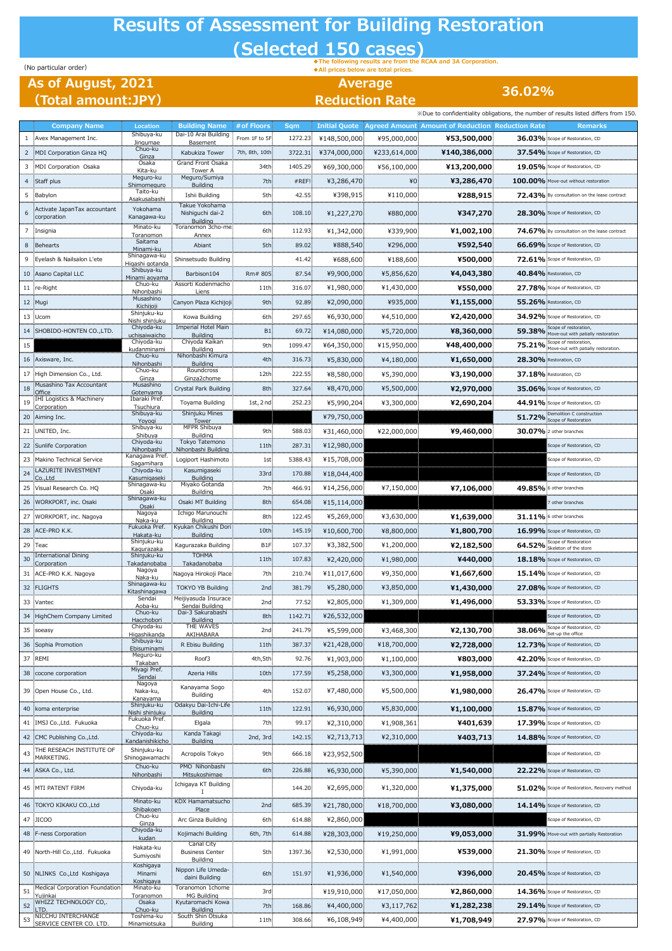## **Results of Assessment for Building Restoration (Selected 150 cases)**

## **As of August, 2021 (Total amount:JPY)**

(No particular order) **◆The following results are from the RCAA and 3A Corporation. ◆All prices below are total prices.**

**Average Reduction Rate**

**36.02%**

|    |                                                           |                                          |                                         |                  |                             |                      |              |                                                  | »>>>>>>>>>>>>>>>>>>>>>>>>+ cresults listed differs from 150        |
|----|-----------------------------------------------------------|------------------------------------------|-----------------------------------------|------------------|-----------------------------|----------------------|--------------|--------------------------------------------------|--------------------------------------------------------------------|
|    | <b>Company Name</b>                                       | <b>Location</b>                          | <b>Building Name</b>                    | # of Floors      | <b>Sqm</b>                  | <b>Initial Quote</b> |              | Agreed Amount Amount of Reduction Reduction Rate | <b>Remarks</b>                                                     |
| 1  | Avex Management Inc.                                      | Shibuya-ku<br>Jingumae                   | Dai-10 Arai Building<br><b>Basement</b> | From 1F to 5F    | 1272.23<br><b>COMMUNIST</b> | ¥148,500,000         | ¥95,000,000  | ¥53,500,000                                      | 36.03% Scope of Restoration, CD                                    |
| 2  | MDI Corporation Ginza HQ                                  | Chuo-ku<br>Ginza                         | Kabukiza Tower                          | 7th, 8th, 10th.  | 3722.31                     | ¥374,000,000:        | ¥233,614,000 | ¥140,386,000                                     | 37.54% Scope of Resto                                              |
| 3  | MDI Corporation Osaka                                     | Osaka<br>Kita-ku                         | Grand Front Osaka                       | 34th             | 1405.29                     | ¥69,300,000          | ¥56,100,000  | ¥13,200,000                                      | 19.05% Scope of Restoration, CD                                    |
|    | 4 Staff plus                                              | Meguro-ku<br>Shimomeguro                 | Tower A<br>Meguro/Sumiya<br>Building    | 7th:             | #REF!                       | ¥3,286,470           | ¥0           | ¥3,286,470                                       | 100.00% Move-out without restoration                               |
|    | 5 Babylon                                                 | Taito-ku<br><u>Asakusabashi</u>          | Ishii Building                          | 5th:             | 42.55                       | ¥398,915             | ¥110,000     | ¥288,915                                         | 72.43% By consultation on the                                      |
|    | : Activate JapanTax accountant                            | Yokohama                                 | Takue Yokohama<br>Nishiguchi dai-2      | 6th              | 108.10                      | ¥1,227,270           | ¥880,000     | ¥347,270                                         | 28.30% Scope of Restoration, CD                                    |
|    | corporation                                               | Kanagawa-ku<br>Minato-ku                 | <b>Building</b><br>Toranomon 3cho-me    |                  |                             |                      |              |                                                  |                                                                    |
|    | Insignia                                                  | <b>Toranomon</b><br><b>Saitama</b>       | Annex                                   | 6th:             | 112.93                      | ¥1,342,000           | ¥339,900     | ¥1,002,100                                       | 74.67% By consultation on the lease                                |
| 8  | Behearts                                                  | Minami-ku                                | Abiant                                  | 5th:             | 89.02                       | ¥888,540             | ¥296,000     | ¥592,540                                         | 66.69% Scope of Restoration, CD                                    |
|    | Eyelash & Nailsalon L'ete                                 | Shinagawa-ku<br><u>ligashi qotand</u>    | Shinsetsudo Building                    |                  | 41.42                       | ¥688,600             | ¥188,600     | ¥500,000                                         | 72.61% Scope of Restoration, CD                                    |
|    | 10 Asano Capital LLC                                      | Shibuya-ku<br><u>Minami aoyama</u>       | Barbison104                             | Rm# 805          | 87.54                       | ¥9,900,000           | ¥5,856,620   | ¥4,043,380                                       | 40.84% Restoration, CD                                             |
|    | 11 re-Right                                               | Chuo-ku<br>Nihonbashi                    | Assorti Kodenmacho<br><u>. Liens</u>    | 11th             | 316.07                      | ¥1,980,000           | ¥1,430,000   | ¥550,000                                         | 27.78% Scope of Restoration, CD                                    |
|    | 12 Mugi                                                   | Musashino<br>Kichijoji                   | Canyon Plaza Kichijoji                  | 9th-             | 92.89                       | ¥2,090,000           | ¥935,000     | ¥1,155,000                                       | 55.26% Restoration, CD                                             |
|    | 13 Ucom                                                   | Shinjuku-ku<br><u>Nishi shinjuku</u>     | Kowa Building                           | 6th:             | 297.65                      | ¥6,930,000           | ¥4,510,000   | ¥2,420,000                                       | 34.92% Scope of Restoration, CD                                    |
|    | 14 SHOBIDO-HONTEN CO., LTD.                               | Chiyoda-ku                               | <b>Imperial Hotel Main</b>              | <b>B1</b>        | 69.72.                      | ¥14,080,000          | ¥5,720,000   | ¥8,360,000                                       | Scope of restoration,<br>59.38% Move-out with patially restoration |
| 15 |                                                           | <u>uchisaiwaicho.</u><br>Chiyoda-ku      | Building<br>Chiyoda Kaikan              | 9th:             | 1099.47                     | ¥64,350,000          | ¥15,950,000  | ¥48,400,000                                      | Scope of restoration,<br>75.21% Move-out with patially restoration |
|    | 16 Axisware, Inc.                                         | <u>sudanminami</u><br>Chuo-ku            | <b>Building</b><br>Nihonbashi Kimura    | 4th:             | 316.73                      | ¥5,830,000           | ¥4,180,000   | ¥1,650,000                                       | 28.30% Restoration, CD                                             |
|    | 17 High Dimension Co., Ltd.                               | Nihonbashi<br>Chuo-ku                    | <b>Building</b><br>Roundcross           | 12th             | 222.55                      | ¥8,580,000           | ¥5,390,000   | ¥3,190,000                                       | 37.18% Restoration, CD                                             |
| 18 | Musashino Tax Accountant                                  | Ginza<br>Musashino                       | Ginza2chome<br>Crystal Park Building    | 8th:             | 327.64                      | ¥8,470,000           | ¥5,500,000   | ¥2,970,000                                       | 35.06% Scope of Restoration,                                       |
| 19 | Office<br><b>IHI Logistics &amp; Machinery</b>            | Gotenyama<br>Ibaraki Pref.               | Toyama Building                         | 1st, $2$ nd      | 252.23                      | ¥5,990,204           | ¥3,300,000   | ¥2,690,204                                       | 44.91% Scope of Restoration, CD                                    |
|    | <b>Corporation</b><br>20 Aiming Inc.                      | Tsuchiura<br>Shibuya-ku                  | Shinjuku Mines                          |                  |                             | ¥79,750,000          |              |                                                  | Demolition C construction                                          |
|    |                                                           | Yovogi<br>Shibuya-ku                     | Tower<br>MFPR Shibuya                   |                  |                             |                      |              |                                                  | 51.72% Scope of Restoration                                        |
|    | 21 UNITED, Inc.                                           | Shibuya<br>Chiyoda-ku                    | Building<br>Tokyo Tatemono              | 9th:             | 588.03                      | ¥31,460,000          | ¥22,000,000  | ¥9,460,000                                       | 30.07% 2 other branches                                            |
|    | 22 Sunlife Corporation                                    | <u>Nihonbashi</u><br>Kanagawa Pref       | Nihonbashi Building                     | 11th             | 287.31                      | ¥12,980,000          |              |                                                  | Scope of Restoration, CD                                           |
|    | 23 Makino Technical Service<br><b>LAZURITE INVESTMENT</b> | Sagamihara<br>Chiyoda-ku                 | Logiport Hashimoto<br>Kasumigaseki      | 1st              | 5388.43                     | ¥15,708,000          |              |                                                  |                                                                    |
| 24 | Co.,Ltd                                                   | <u>Kasumigaseki.</u><br>Shinagawa-ku     | <b>Building</b><br>Miyako Gotanda       | 33rd:            | 170.88                      | ¥18,044,400          |              |                                                  | Scope of Restoration, C                                            |
|    | 25 Visual Research Co. HQ                                 | Osaki                                    | <u>. Building</u>                       | 7th:             | 466.91                      | ¥14,256,000          | ¥7,150,000   | ¥7,106,000                                       | 49.85% 6 other branch                                              |
|    | 26 WORKPORT, inc. Osaki                                   | Shinagawa-ku<br>Osaki                    | Osaki MT Building                       | 8th:             | 654.08                      | ¥15,114,000          |              |                                                  | other branche                                                      |
|    | 27 WORKPORT, inc. Nagoya                                  | Nagoya<br><u>Naka-ku</u>                 | Ichigo Marunouchi<br><b>Building</b>    | 8th:             | 122.45                      | ¥5,269,000           | ¥3,630,000   | ¥1,639,000                                       | 31.11% 6 other branches                                            |
|    | 28 ACE-PRO K.K.                                           | Fukuoka Pref.<br>Hakata-ku               | Kyukan Chikushi Dori<br>Building        | 10th             | 145.19                      | ¥10,600,700          | ¥8,800,000   | ¥1,800,700                                       | 16.99% Scope of Restoration, CD                                    |
|    | 29 Teac                                                   | Shinjuku-ku<br><u>Kagurazaka</u>         | Kagurazaka Building                     | B <sub>1</sub> F | 107.37                      | ¥3,382,500           | ¥1,200,000   | ¥2,182,500                                       | 64.52% Scope of Restoration                                        |
| 30 | International Dining<br>Corporation                       | Shinjuku-ku<br>Takadanobaba              | <b>TOHMA</b><br>Takadanobaba            | 11 <sup>th</sup> | 107.83                      | ¥2,420,000           | ¥1,980,000   | ¥440,000                                         | 18.18% Scope of Restoration, CD                                    |
|    | 31 ACE-PRO K.K. Nagoya                                    | Nagoya<br>Naka-ku                        | Nagoya Hirokoji Place                   | 7th:             | 210.74                      | ¥11,017,600          | ¥9,350,000   | ¥1,667,600                                       | 15.14% Scope of Restoration, CD                                    |
|    | 32 FLIGHTS                                                | Shinagawa-ku<br><u>Kitashinagawa</u>     | <b>TOKYO YB Building</b>                | 2nd              | 381.79                      | ¥5,280,000           | ¥3,850,000   | ¥1,430,000                                       | 27.08% Scope of Restoration, CD                                    |
|    | 33 Vantec                                                 | Sendai<br><u>Aoba-ku</u>                 | Meijiyasuda Insurace<br>Sendai Building | 2nd:             | 77.52                       | ¥2,805,000           | ¥1,309,000   | ¥1,496,000                                       | 53.33% Scope of Restoration, CI                                    |
|    | 34 HighChem Company Limited                               |                                          | Building                                | 8th:             | 1142.71                     | ¥26,532,000          |              |                                                  | Scope of Restoration, CD                                           |
|    | 35 soeasy                                                 | Hacchobori<br>Chiyoda-ku<br>Higashikanda | THE WAVES<br>AKIHABARA                  | 2nd:             | 241.79                      | ¥5,599,000           | ¥3,468,300   | ¥2,130,700                                       | Scope of Restoration, CD<br>38.06% Set-up the office               |
|    | 36 Sophia Promotion                                       | Shibuya-ku                               | R Ebisu Building                        | 11th             | 387.37                      | ¥21,428,000          | ¥18,700,000  | ¥2,728,000                                       | 12.73% Scope of Restoration, CD                                    |
|    | 37 REMI                                                   | Ebisuminami<br>Meguro-ku                 | Roof3                                   | 4th,5th          | 92.76                       | ¥1,903,000           | ¥1,100,000   | ¥803,000                                         | 42.20% Scope of Restoration, CD                                    |
|    | 38 :cocone corporation                                    | Takaban<br>Miyagi Pref.                  | Azeria Hills                            | 10th             | 177.59                      | ¥5,258,000           | ¥3,300,000   | ¥1,958,000                                       | 37.24% Scope of Restoration                                        |
|    |                                                           | Sendai<br>Nagoya                         | Kanayama Sogo                           |                  |                             |                      |              |                                                  |                                                                    |
|    | 39 Open House Co., Ltd.                                   | Naka-ku,<br>. Kanavama<br>Shinjuku-ku    | Building                                | 4th:             | 152.07                      | ¥7,480,000           | ¥5,500,000   | ¥1,980,000                                       | 26.47% Scope of Restoration, CD                                    |
|    | 40 koma enterprise<br>the control of the control of       | <u>Nishi shinjuku.</u>                   | Odakyu Dai-Ichi-Life<br>Building        | 11th             | 122.91                      | ¥6,930,000           | ¥5,830,000   | 41,100,000                                       | 15.87% Scope of Restoration, CD                                    |
|    | 41 IMSJ Co., Ltd. Fukuoka                                 | Fukuoka Pref.<br>Chuo-ku<br>Chiyoda-ku   | Elgala                                  | 7th:             | 99.17                       | ¥2,310,000           | ¥1,908,361   | ¥401,639                                         | 17.39% Scope of Restoration, CD                                    |
|    | 42 : CMC Publishing Co., Ltd.                             | Kandanishikicho                          | Kanda Takagi<br><b>Building</b>         | 2nd, 3rd:        | 142.15                      | ¥2,713,713           | ¥2,310,000   | ¥403,713                                         | 14.88% Scope of Restoration, CD                                    |
|    | THE RESEACH INSTITUTE OF<br>MARKETING.                    | Shinjuku-ku<br>Shinogawamachi            | Acropolis Tokyo                         | 9th:             | 666.18                      | ¥23,952,500          |              |                                                  | Scope of Restoration, CD                                           |
|    | 44   ASKA Co., Ltd.                                       | Chuo-ku                                  | PMO Nihonbashi                          | 6th:             | 226.88                      | ¥6,930,000           | ¥5,390,000   | ¥1,540,000                                       | 22.22% Scope of Restoration, CD                                    |
|    |                                                           | Nihonbashi                               | Mitsukoshimae<br>Ichigaya KT Building   |                  |                             |                      |              |                                                  |                                                                    |
|    | 45 MTI PATENT FIRM                                        | Chiyoda-ku<br>Minato-ku                  | <b>KDX Hamamatsucho</b>                 |                  | 144.20                      | ¥2,695,000           | ¥1,320,000   | ¥1,375,000                                       | 51.02% Scope of Restoration, Recovery method                       |
|    | 46 TOKYO KIKAKU CO., Ltd                                  | Shibakoen                                | <b>Place</b>                            | 2nd              | 685.39                      | ¥21,780,000          | ¥18,700,000  | ¥3,080,000                                       | 14.14% Scope of Restoration, CD                                    |
|    | 47 JICOO                                                  | Chuo-ku<br>Ginza                         | Arc Ginza Building                      | 6th.             | 614.88                      | ¥2,860,000           |              |                                                  |                                                                    |
|    | 48 F-ness Corporation                                     | Chiyoda-ku<br>kudan                      | Kojimachi Building                      | 6th, 7th:        | 614.88                      | ¥28,303,000          | ¥19,250,000  | ¥9,053,000                                       | 31.99% Move-out with partially Restoration                         |
|    | 49 North-Hill Co., Ltd. Fukuoka                           | Hakata-ku<br>Sumiyoshi                   | Canal City<br><b>Business Center</b>    | 5th:             | 1397.36                     | ¥2,530,000           | ¥1,991,000   | ¥539,000                                         | 21.30% Scope of Restoration, CD                                    |
|    |                                                           | Koshigaya                                | Building<br>Nippon Life Umeda-          |                  |                             |                      |              |                                                  |                                                                    |
|    | 50 NLINKS Co., Ltd Koshigaya                              | Minami<br>Koshigaya                      | daini Building                          | 6th:             | 151.97                      | ¥1,936,000           | ¥1,540,000   | ¥396,000                                         | 20.45% Scope of Restoration, CD                                    |
| 51 | Medical Corporation Foundation<br>Yujinkai                | Minato-ku<br><b>Toranomon</b>            | Toranomon 1chome<br>MG Building         | 3rd              |                             | ¥19,910,000          | ¥17,050,000  | ¥2,860,000                                       | 14.36% Scope of Restoration, CD                                    |
| 52 | WHIZZ TECHNOLOGY CO,.<br>LTD.                             | Osaka<br>Chuo-ku                         | Kyutaromachi Kowa<br><b>Building</b>    | 7th:             | 168.86                      | ¥4,400,000           | ¥3,117,762   | ¥1,282,238                                       | 29.14% Scope of Restoration, CD                                    |
| 53 | NICCHU INTERCHANGE<br>SERVICE CENTER CO. LTD              | Toshima-ku<br>Minamiotsuka               | South Shin Otsuka<br>Building           | 11th:            | 308.66                      | ¥6,108,949           | ¥4,400,000   | ¥1,708,949                                       | 27.97% Scope of Restoration, CD                                    |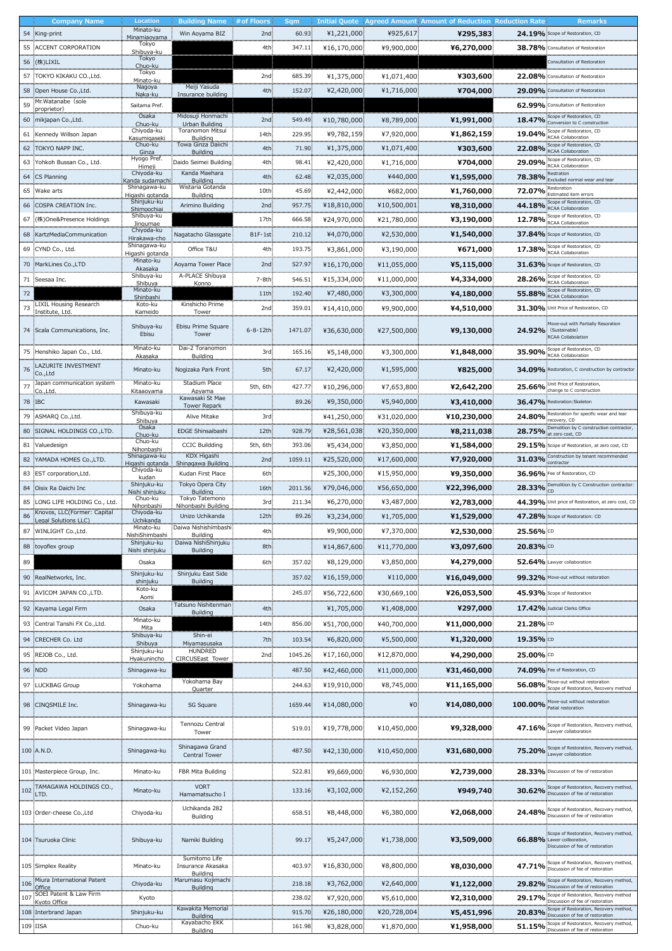|        | <b>Company Name</b>                       | Location                        | <b>Building Name</b>              | $#$ of Floors   | Sqm     |              |               | <b>Initial Quote   Agreed Amount  Amount of Reduction   Reduction Rate  </b> |                      | Remarks                                                                          |
|--------|-------------------------------------------|---------------------------------|-----------------------------------|-----------------|---------|--------------|---------------|------------------------------------------------------------------------------|----------------------|----------------------------------------------------------------------------------|
|        | 54 King-print                             | Minato-ku                       | Win Aoyama BIZ                    | 2nd             | 60.93   | ¥1,221,000   | ¥925,617      | ¥295,383                                                                     |                      | 24.19% Scope of Restoration, CD                                                  |
|        |                                           | Minamiaoyama<br>Tokyo           |                                   |                 |         |              |               |                                                                              |                      |                                                                                  |
|        | 55 ACCENT CORPORATION                     | Shibuya-ku                      |                                   | 4th             | 347.11  | ¥16,170,000  | ¥9,900,000    | ¥6,270,000                                                                   | 38.78% Consultation  |                                                                                  |
|        | 56 (株)LIXIL                               | Tokyo                           |                                   |                 |         |              |               |                                                                              |                      |                                                                                  |
|        | 57 TOKYO KIKAKU CO., Ltd.                 | Chuo-ku<br>Tokyo                |                                   | 2nd             | 685.39  |              | ¥1,071,400    |                                                                              |                      |                                                                                  |
|        |                                           | <u>Minato-ku</u>                | Meiji Yasuda                      |                 |         | ¥1,375,000   |               | ¥303,600                                                                     |                      | 22.08% Consultation of                                                           |
|        | 58 : Open House Co., Ltd.                 | Nagoya<br>Naka-ku               | Insurance building                | 4th             | 152.07  | ¥2,420,000   | ¥1,716,000    | ¥704,000                                                                     |                      | 29.09% Consultation of Restoration                                               |
| 59     | Mr. Watanabe (sole                        | Saitama Pref.                   |                                   |                 |         |              |               |                                                                              |                      | 62.99% Consultation of Restoration                                               |
|        | proprietor)                               | Osaka                           | Midosuji Honmachi                 |                 |         |              |               |                                                                              |                      |                                                                                  |
|        | 60 mikjapan Co., Ltd.                     | Chuo-ku                         | Urban Building                    | 2nd:            | 549.49  | ¥10,780,000  | ¥8,789,000    | ¥1,991,000                                                                   |                      | 18.47% Conversion to C construction                                              |
|        | 61 Kennedy Willson Japan                  | Chiyoda-ku                      | Toranomon Mitsui                  | 14th            | 229.95  | ¥9,782,159   | ¥7,920,000    | ¥1,862,159                                                                   |                      | Scope of Restoration, CD<br>19.04% RCAA Collaboration                            |
|        |                                           | <u>Kasumigaseki</u><br>Chuo-ku  | Building<br>Towa Ginza Daiichi    |                 |         |              |               |                                                                              |                      | Scope of Restoration, CD                                                         |
|        | 62 TOKYO NAPP INC.                        | Ginza                           | Building                          | 4th             | 71.90   | ¥1,375,000   | ¥1,071,400    | ¥303,600                                                                     |                      | 22.08% RCAA Collaboration                                                        |
|        | 63 Yohkoh Bussan Co., Ltd.                | Hyogo Pref.                     | Daido Seimei Building             | 4th:            | 98.41   | ¥2,420,000   | ¥1,716,000    | ¥704,000                                                                     |                      | Scope of Restoration, CD<br>29.09% RCAA Collaboration                            |
|        |                                           | Himeji<br>Chiyoda-ku            | Kanda Maehara                     |                 |         |              |               |                                                                              |                      | Restration                                                                       |
|        | 64 CS Planning                            | Kanda sudamachi                 | <b>Building</b>                   | 4th:            | 62.48   | ¥2,035,000   | ¥440,000      | ¥1,595,000                                                                   |                      | 78.38% Excluded normal wear and tear                                             |
|        | 65 Wake arts                              | Shinagawa-ku                    | Wistaria Gotanda                  | 10th            | 45.69   | ¥2,442,000   | ¥682,000      | ¥1,760,000                                                                   |                      | Restoration<br>72.07% Estimated item errors                                      |
|        | 66 COSPA CREATION Inc.                    | Higashi gotanda<br>Shinjuku-ku  | Building                          | 2nd             |         |              |               |                                                                              |                      | Scope of Restoration, CD                                                         |
|        |                                           | Shimoochiai                     | Arimino Building                  |                 | 957.75  | ¥18,810,000  | $*10,500,001$ | ¥8,310,000                                                                   |                      | 44.18% RCAA Collaboration                                                        |
| 67     | (株)One&Presence Holdings                  | Shibuya-ku<br><u>Jingumae</u>   |                                   | 17th            | 666.58  | ¥24,970,000  | ¥21,780,000   | ¥3,190,000                                                                   |                      | Scope of Restoration, CD<br>12.78% RCAA Collaboration                            |
| 68     |                                           | Chiyoda-ku                      |                                   |                 |         | ¥4,070,000   | ¥2,530,000    |                                                                              |                      | 37.84%: Scope of Restoration, CD                                                 |
|        | :KartzMediaCommunication                  | Hirakawa-cho                    | Nagatacho Glassgate               | $B1F \cdot 1st$ | 210.12  |              |               | ¥1,540,000                                                                   |                      |                                                                                  |
|        | 69 CYND Co., Ltd.                         | Shinagawa-ku<br>Higashi gotanda | Office T&U                        | 4th:            | 193.75  | ¥3,861,000   | ¥3,190,000    | ¥671,000                                                                     |                      | Scope of Restoration, CD<br>17.38% RCAA Collaboration                            |
|        | MarkLines Co., LTD                        | Minato-ku                       |                                   |                 |         |              |               |                                                                              |                      | 31.63% Scope of Restoration, CD                                                  |
| 70     |                                           | Akasaka                         | Aoyama Tower Place                | 2nd             | 527.97  | ¥16,170,000  | ¥11,055,000   | ¥5,115,000                                                                   |                      |                                                                                  |
|        | 71 Seesaa Inc.                            | Shibuya-ku<br>Shibuya           | A-PLACE Shibuya<br>Konno          | 7.8th           | 546.51  | ¥15,334,000  | ¥11,000,000   | ¥4,334,000                                                                   |                      | Scope of Restoration, CD<br>28.26% RCAA Collaboration                            |
| 72     |                                           | Minato-ku                       |                                   | 11th            | 192.40  | ¥7,480,000   | ¥3,300,000    |                                                                              |                      | Scope of Restoration, CD                                                         |
|        |                                           | Shinbashi                       | Kinshicho Prime                   |                 |         |              |               | ¥4,180,000                                                                   |                      | 55.88% RCAA Collaboration                                                        |
| 73     | LIXIL Housing Research<br>Institute, Ltd. | Koto-ku<br>Kameido              | Tower                             | 2nd             | 359.01  | ¥14,410,000  | ¥9,900,000    | ¥4,510,000                                                                   |                      | 31.30% Unit Price of Restoration, CD                                             |
|        |                                           |                                 |                                   |                 |         |              |               |                                                                              |                      |                                                                                  |
|        | 74 Scala Communications, Inc.             | Shibuya-ku                      | Ebisu Prime Square                | 6.8.12th        | 1471.07 | ¥36,630,000  | ¥27,500,000   | ¥9,130,000                                                                   |                      | Move-out with Partially Resoration<br>24.92% (Sustainable)                       |
|        |                                           | Ebisu                           | Tower                             |                 |         |              |               |                                                                              |                      | <b>RCAA Collabolation</b>                                                        |
|        | 75 : Henshiko Japan Co., Ltd.             | Minato-ku                       | Dai-2 Toranomon                   | 3rd:            | 165.16  | ¥5,148,000   | ¥3,300,000    |                                                                              |                      | Scope of Restoration, CD                                                         |
|        |                                           | Akasaka                         | Building                          |                 |         |              |               | ¥1,848,000                                                                   |                      | 35.90% RCAA Collaboration                                                        |
| 76     | LAZURITE INVESTMENT                       | Minato-ku                       | Nogizaka Park Front               | 5th:            | 67.17   | ¥2,420,000   | ¥1,595,000    | ¥825,000                                                                     |                      | 34.09% Restoration, C construction by contractor                                 |
|        | Co.,Ltd                                   |                                 |                                   |                 |         |              |               |                                                                              |                      |                                                                                  |
| 77     | Japan communication system                | Minato-ku                       | Stadium Place                     | 5th, 6th        | 427.77  | ¥10,296,000  | ¥7,653,800    | ¥2,642,200                                                                   |                      | 25.66% Unit Price of Restoration,                                                |
|        | :Co.,Ltd                                  | <u>Kitaaovama</u>               | Apyama<br>Kawasaki St Mae         |                 |         |              |               |                                                                              |                      |                                                                                  |
| 78 IBC |                                           | Kawasaki                        | <b>Tower Repark</b>               |                 | 89.26   | ¥9,350,000   | ¥5,940,000    | ¥3,410,000                                                                   |                      | 36.47% Restoration: Skeleton                                                     |
| 79     | : ASMARQ Co., Ltd.                        | Shibuya-ku<br>Shibuya           | Alive Mitake                      | 3rd:            |         | ¥41,250,000  | ¥31,020,000:  | ¥10,230,000                                                                  |                      | Restoration for specific wear and tear<br>24.80% recovery, CD                    |
|        | 80 SIGNAL HOLDINGS CO., LTD.              | Osaka                           | EDGE Shinsaibashi                 | 12th            | 928.79  |              |               |                                                                              |                      | Demolition by C construction contracto                                           |
|        |                                           | Chuo-ku                         |                                   |                 |         | ¥28,561,038  | ¥20,350,000   | ¥8,211,038                                                                   |                      | 28.75% at zero cost, CD                                                          |
|        | 81 Valuedesign                            | Chuo-ku<br><u>Nihonbashi</u>    | <b>CCIC Buildding</b>             | 5th, 6th        | 393.06  | ¥5,434,000   | ¥3,850,000    | ¥1,584,000                                                                   |                      | 29.15% Scope of Restoration, at zero cost, CD                                    |
|        | 82 YAMADA HOMES Co., LTD.                 | Shinagawa-ku                    | KDX Higashi                       | 2nd             | 1059.11 | ¥25,520,000  | ¥17,600,000   | ¥7,920,000                                                                   | 31.03% COMBU LOCK    | Construction by tenant recommended                                               |
|        |                                           | Higashi gotanda<br>Chiyoda-ku   | Shinagawa Building                |                 |         |              |               |                                                                              |                      |                                                                                  |
|        | 83 EST corporation, Ltd.                  | kudan                           | Kudan First Place                 | 6th             |         | ¥25,300,000  | ¥15,950,000   | ¥9,350,000                                                                   |                      | 36.96% Fee of Restoration, CD                                                    |
|        | 84 Oisix Ra Daichi Inc                    | Shinjuku-ku                     | Tokyo Opera City                  | 16th            | 2011.56 | ¥79,046,000  | ¥56,650,000   | ¥22,396,000                                                                  | 28.33% CD            | Demolition by C Construction contractor                                          |
|        |                                           | Nishi shinjuku<br>Chuo-ku       | <b>Building</b><br>Tokyo Tatemono |                 |         |              |               |                                                                              |                      |                                                                                  |
| 85     | LONG LIFE HOLDING Co., Ltd.               | Nihonbashi                      | Nihonbashi Building               | 3rd             | 211.34  | ¥6,270,000   | ¥3,487,000    | ¥2,783,000                                                                   | 44.39% Unit price of |                                                                                  |
| 86     | Knovos, LLC(Former: Capital               | Chiyoda-ku                      | Unizo Uchikanda                   | 12th            | 89.26   | ¥3,234,000   | ¥1,705,000    | ¥1,529,000                                                                   |                      | 47.28% Scope of Restoration: CD                                                  |
|        | Legal Solutions LLC)                      | Uchikanda<br>Minato-ku          | Daiwa Nishishimbashi:             |                 |         |              |               |                                                                              |                      |                                                                                  |
| 87     | WINLIGHT Co., Ltd.                        | NishiShimbashi                  | <b>Building</b>                   | 4th             |         | ¥9,900,000   | ¥7,370,000    | ¥2,530,000                                                                   | 25.56% CD            |                                                                                  |
|        | 88 toyoflex group                         | Shinjuku-ku                     | Daiwa NishiShinjuku               | 8th             |         | ¥14,867,600  | ¥11,770,000   | ¥3,097,600                                                                   | 20.83% CD            |                                                                                  |
|        |                                           | Nishi shinjuku                  | <b>Building</b>                   |                 |         |              |               |                                                                              |                      |                                                                                  |
| 89     |                                           | Osaka                           |                                   | 6th:            | 357.02  | ¥8,129,000   | ¥3,850,000    | ¥4,279,000                                                                   | 52.64% Lawyer        |                                                                                  |
|        | 90 RealNetworks, Inc.                     | Shinjuku-ku                     | Shinjuku East Side                |                 | 357.02  | ¥16,159,000  | ¥110,000      | ¥16,049,000                                                                  |                      | 99.32% Move-out without restoration                                              |
|        |                                           | shinjuku<br>Koto-ku             | <b>Building</b>                   |                 |         |              |               |                                                                              |                      |                                                                                  |
|        | 91 AVICOM JAPAN CO., LTD.                 | Aomi                            |                                   |                 | 245.07  | ¥56,722,600  | ¥30,669,100   | ¥26,053,500¦                                                                 |                      | 45.93% Scope of Restoration                                                      |
|        | 92 Kayama Legal Firm                      | Osaka                           | Tatsuno Nishitenman               | 4th             |         | ¥1,705,000   | ¥1,408,000    | ¥297,000                                                                     |                      | 17.42% Judicial Clerks Office                                                    |
|        |                                           |                                 | <b>Building</b>                   |                 |         |              |               |                                                                              |                      |                                                                                  |
| 93     | :Central Tanshi FX Co.,Ltd.               | Minato-ku<br>Mita               |                                   | 14th.           | 856.00  | ¥51,700,000  | ¥40,700,000:  | ¥11,000,000                                                                  | 21.28% CD            |                                                                                  |
|        |                                           | Shibuya-ku                      | Shin-ei                           | 7th             |         |              |               |                                                                              |                      |                                                                                  |
|        | 94 CRECHER Co. Ltd                        | Shibuya                         | <u>Miyamasusaka</u>               |                 | 103.54  | ¥6,820,000   | ¥5,500,000    | ¥1,320,000                                                                   | 19.35% CD            |                                                                                  |
|        | 95 REJOB Co., Ltd.                        | Shinjuku-ku<br>Hyakunincho      | HUNDRED<br>CIRCUSEast Tower       | 2nd             | 1045.26 | ¥17,160,000  | ¥12,870,000   | ¥4,290,000                                                                   | 25.00% CD            |                                                                                  |
|        |                                           |                                 |                                   |                 |         |              |               |                                                                              |                      |                                                                                  |
|        | 96 NDD                                    | Shinagawa-ku                    |                                   |                 | 487.50  | ¥42,460,000  | ¥11,000,000:  | ¥31,460,000∶                                                                 |                      | 74.09% Fee of Restoration, CI                                                    |
|        | 97 LUCKBAG Group                          | Yokohama                        | Yokohama Bay                      |                 | 244.63  | ¥19,910,000: | ¥8,745,000    | ¥11,165,000.                                                                 |                      | 56.08% Move-out without restoration<br>Scope of Restoration, Recovery method     |
|        |                                           |                                 | Quarter                           |                 |         |              |               |                                                                              |                      |                                                                                  |
|        | 98 CINQSMILE Inc.                         | Shinagawa-ku                    | SG Square                         |                 | 1659.44 | ¥14,080,000  | $*0$          | ¥14,080,000                                                                  |                      | Move-out without restoration<br>100.00% Patial restoration                       |
|        |                                           |                                 |                                   |                 |         |              |               |                                                                              |                      |                                                                                  |
|        | 99 Packet Video Japan                     | Shinagawa-ku                    | Tennozu Central                   |                 | 519.01  | ¥19,778,000  | ¥10,450,000   | ¥9,328,000                                                                   |                      | Scope of Restoration                                                             |
|        |                                           |                                 | Tower                             |                 |         |              |               |                                                                              |                      | 47.16% Lawyer collaboration                                                      |
|        |                                           |                                 | Shinagawa Grand                   |                 |         |              |               |                                                                              |                      | Scope of Restoration, Recovery method,                                           |
|        | 100 A.N.D.                                | Shinagawa-ku                    | Central Tower                     |                 | 487.50  | ¥42,130,000  | ¥10,450,000   | ¥31,680,000                                                                  |                      | 75.20% Lawyer collaboration                                                      |
|        |                                           |                                 |                                   |                 |         |              |               |                                                                              |                      |                                                                                  |
|        | 101 Masterpiece Group, Inc.               | Minato-ku                       | FBR Mita Building                 |                 | 522.81  | ¥9,669,000   | ¥6,930,000    | ¥2,739,000                                                                   |                      | 28.33% Discussion of fee of restoration                                          |
|        | 102 TAMAGAWA HOLDINGS CO.,                |                                 | <b>VORT</b>                       |                 |         |              |               |                                                                              |                      | Scope of Restoration, Recovery method,                                           |
|        | ILTD.                                     | Minato-ku                       | Hamamatsucho I                    |                 | 133.16  | ¥3,102,000   | ¥2,152,260    | ¥949,740                                                                     | 30.62%               | Discussion of fee of restoration                                                 |
|        |                                           |                                 |                                   |                 |         |              |               |                                                                              |                      |                                                                                  |
|        | 103 Order-cheese Co., Ltd                 | Chiyoda-ku                      | Uchikanda 282<br>Building         |                 | 658.51  | ¥8,448,000   | ¥6,380,000    | ¥2,068,000                                                                   | 24.48%               | Scope of Restoration, Recovery method,<br>Discussion of fee of restoration       |
|        |                                           |                                 |                                   |                 |         |              |               |                                                                              |                      |                                                                                  |
|        |                                           |                                 |                                   |                 |         |              |               |                                                                              |                      | Scope of Restoration, Recovery method,                                           |
|        | 104 Tsuruoka Clinic                       | Shibuya-ku                      | Namiki Building                   |                 | 99.17   | ¥5,247,000   | ¥1,738,000    | ¥3,509,000                                                                   |                      | 66.88% Lawer collboration,<br>Discussion of fee of restoration                   |
|        |                                           |                                 |                                   |                 |         |              |               |                                                                              |                      |                                                                                  |
|        |                                           |                                 | Sumitomo Life                     |                 |         |              |               |                                                                              |                      | Scope of Restoration, Recovery method                                            |
|        | 105 Simplex Reality                       | Minato-ku                       | Insurance Akasaka                 |                 | 403.97  | ¥16,830,000  | ¥8,800,000    | ¥8,030,000                                                                   | 47.71%               | Discussion of fee of restoration                                                 |
| 106    | Miura International Patent                | Chiyoda-ku                      | Building<br>Marumasu Kojimachi    |                 | 218.18  | ¥3,762,000   | ¥2,640,000    | ¥1,122,000                                                                   |                      | Scope of Restoration, Recovery method,                                           |
|        | Office<br>107 SOEI Patent & Law Firm      |                                 | <b>Building</b>                   |                 |         |              |               |                                                                              |                      | 29.82% Discussion of fee of restoration<br>Scope of Restoration, Recovery method |
|        | Kyoto Office                              | Kyoto                           |                                   |                 | 238.02  | ¥7,920,000   | ¥5,610,000    | ¥2,310,000                                                                   |                      | 29.17% Discussion of fee of restoration                                          |
|        | 108 Interbrand Japan                      | Shinjuku-ku                     | Kawakita Memorial                 |                 | 915.70  | ¥26,180,000: | ¥20,728,004   | ¥5,451,996                                                                   |                      | Scope of Restoration, Recovery method,                                           |
|        |                                           |                                 | Building<br>Kayabacho EKK         |                 |         |              |               |                                                                              |                      | 20.83% Discussion of fee of restoration                                          |
|        | 109 IISA                                  | Chuo-ku                         | Building                          |                 | 161.98  | ¥3,828,000   | ¥1,870,000    | ¥1,958,000                                                                   |                      | 51.15% Scope of Restoration, Recovery method,                                    |